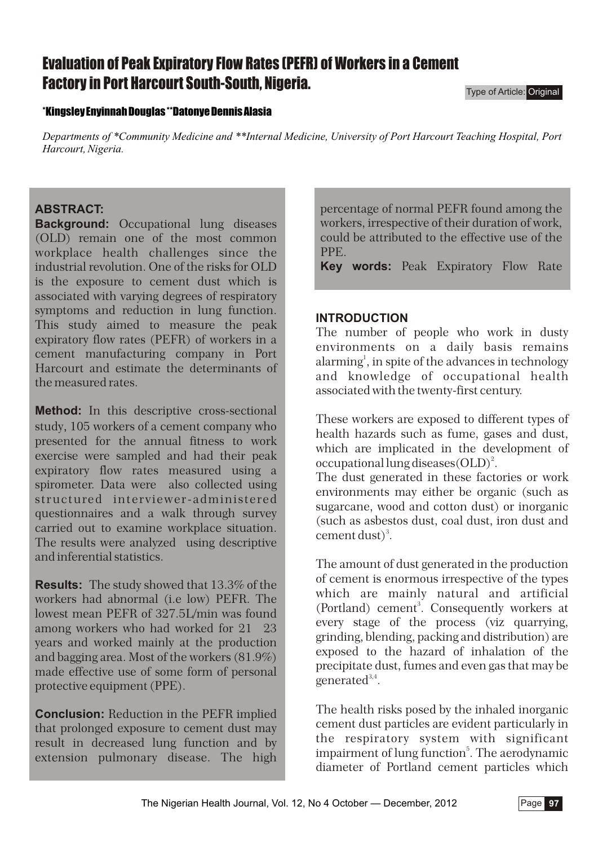# **Evaluation of Peak Expiratory Flow Rates (PEFR) of Workers in a Cement Factory in Port Harcourt South-South, Nigeria.**

Type of Article: Original

#### **\*Kingsley Enyinnah Douglas \*\*Datonye Dennis Alasia**

*Departments of \*Community Medicine and \*\*Internal Medicine, University of Port Harcourt Teaching Hospital, Port Harcourt, Nigeria.*

## **ABSTRACT:**

**Background:** Occupational lung diseases (OLD) remain one of the most common workplace health challenges since the industrial revolution. One of the risks for OLD is the exposure to cement dust which is associated with varying degrees of respiratory symptoms and reduction in lung function. This study aimed to measure the peak expiratory flow rates (PEFR) of workers in a cement manufacturing company in Port Harcourt and estimate the determinants of the measured rates.

**Method:** In this descriptive cross-sectional study, 105 workers of a cement company who presented for the annual fitness to work exercise were sampled and had their peak expiratory flow rates measured using a spirometer. Data were also collected using structured interviewer-administered questionnaires and a walk through survey carried out to examine workplace situation. The results were analyzed using descriptive and inferential statistics.

**Results:** The study showed that 13.3% of the workers had abnormal (i.e low) PEFR. The lowest mean PEFR of 327.5L/min was found among workers who had worked for 21 23 years and worked mainly at the production and bagging area. Most of the workers (81.9%) made effective use of some form of personal protective equipment (PPE).

**Conclusion:** Reduction in the PEFR implied that prolonged exposure to cement dust may result in decreased lung function and by extension pulmonary disease. The high

percentage of normal PEFR found among the workers, irrespective of their duration of work, could be attributed to the effective use of the PPE.

**Key words:** Peak Expiratory Flow Rate

### **INTRODUCTION**

The number of people who work in dusty environments on a daily basis remains alarming<sup>1</sup>, in spite of the advances in technology and knowledge of occupational health associated with the twenty-first century.

These workers are exposed to different types of health hazards such as fume, gases and dust, which are implicated in the development of occupational lung diseases  $\text{(OLD)}^2$ .

The dust generated in these factories or work environments may either be organic (such as sugarcane, wood and cotton dust) or inorganic (such as asbestos dust, coal dust, iron dust and cement dust)<sup>3</sup>.

The amount of dust generated in the production of cement is enormous irrespective of the types which are mainly natural and artificial (Portland) cement<sup>3</sup>. Consequently workers at every stage of the process (viz quarrying, grinding, blending, packing and distribution) are exposed to the hazard of inhalation of the precipitate dust, fumes and even gas that may be  $e^{2}$  generated<sup>3,4</sup>.

The health risks posed by the inhaled inorganic cement dust particles are evident particularly in the respiratory system with significant impairment of lung function<sup>5</sup>. The aerodynamic diameter of Portland cement particles which

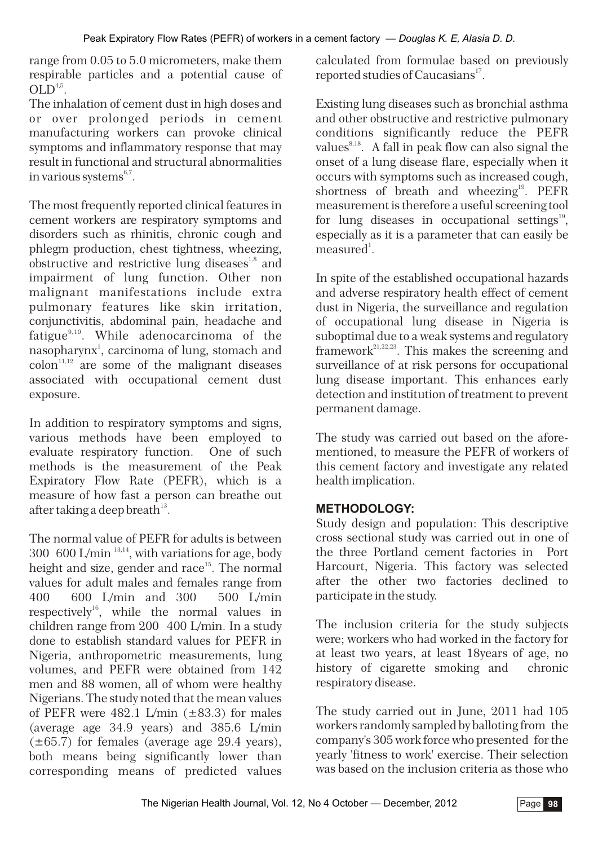range from 0.05 to 5.0 micrometers, make them respirable particles and a potential cause of  $OLD<sup>4,5</sup>$ .

The inhalation of cement dust in high doses and or over prolonged periods in cement manufacturing workers can provoke clinical symptoms and inflammatory response that may result in functional and structural abnormalities in various systems $6,7$ .

The most frequently reported clinical features in cement workers are respiratory symptoms and disorders such as rhinitis, chronic cough and phlegm production, chest tightness, wheezing,  $\overline{\text{obstructive}}$  and restrictive lung diseases<sup>1,8</sup> and impairment of lung function. Other non malignant manifestations include extra pulmonary features like skin irritation, conjunctivitis, abdominal pain, headache and fatigue<sup>9,10</sup>. While adenocarcinoma of the nasopharynx<sup>1</sup>, carcinoma of lung, stomach and  $\text{colon}^{\scriptscriptstyle[1,1,12]}$  are some of the malignant diseases associated with occupational cement dust exposure.

In addition to respiratory symptoms and signs, various methods have been employed to evaluate respiratory function. One of such methods is the measurement of the Peak Expiratory Flow Rate (PEFR), which is a measure of how fast a person can breathe out after taking a deep breath  $13$ .

The normal value of PEFR for adults is between 300 600 L/min  $\frac{13,14}{2}$ , with variations for age, body height and size, gender and race<sup>15</sup>. The normal values for adult males and females range from 400 600 L/min and 300 500 L/min respectively $^{\text{16}}$ , while the normal values in children range from 200 400 L/min. In a study done to establish standard values for PEFR in Nigeria, anthropometric measurements, lung volumes, and PEFR were obtained from 142 men and 88 women, all of whom were healthy Nigerians. The study noted that the mean values of PEFR were  $482.1$  L/min ( $\pm 83.3$ ) for males (average age 34.9 years) and 385.6 L/min  $(\pm 65.7)$  for females (average age 29.4 years), both means being significantly lower than corresponding means of predicted values

calculated from formulae based on previously reported studies of Caucasians<sup>17</sup>.

Existing lung diseases such as bronchial asthma and other obstructive and restrictive pulmonary conditions significantly reduce the PEFR values $^{8,18}$ . A fall in peak flow can also signal the onset of a lung disease flare, especially when it occurs with symptoms such as increased cough, shortness of breath and wheezing<sup>19</sup>. PEFR measurement is therefore a useful screening tool for lung diseases in occupational settings $^{19}$ , especially as it is a parameter that can easily be  $measured<sup>1</sup>$ .

In spite of the established occupational hazards and adverse respiratory health effect of cement dust in Nigeria, the surveillance and regulation of occupational lung disease in Nigeria is suboptimal due to a weak systems and regulatory  $\operatorname{framework}^{21,22,23}$ . This makes the screening and surveillance of at risk persons for occupational lung disease important. This enhances early detection and institution of treatment to prevent permanent damage.

The study was carried out based on the aforementioned, to measure the PEFR of workers of this cement factory and investigate any related health implication.

# **METHODOLOGY:**

Study design and population: This descriptive cross sectional study was carried out in one of the three Portland cement factories in Port Harcourt, Nigeria. This factory was selected after the other two factories declined to participate in the study.

The inclusion criteria for the study subjects were; workers who had worked in the factory for at least two years, at least 18years of age, no history of cigarette smoking and chronic respiratory disease.

The study carried out in June, 2011 had 105 workers randomly sampled by balloting from the company's 305 work force who presented for the yearly 'fitness to work' exercise. Their selection was based on the inclusion criteria as those who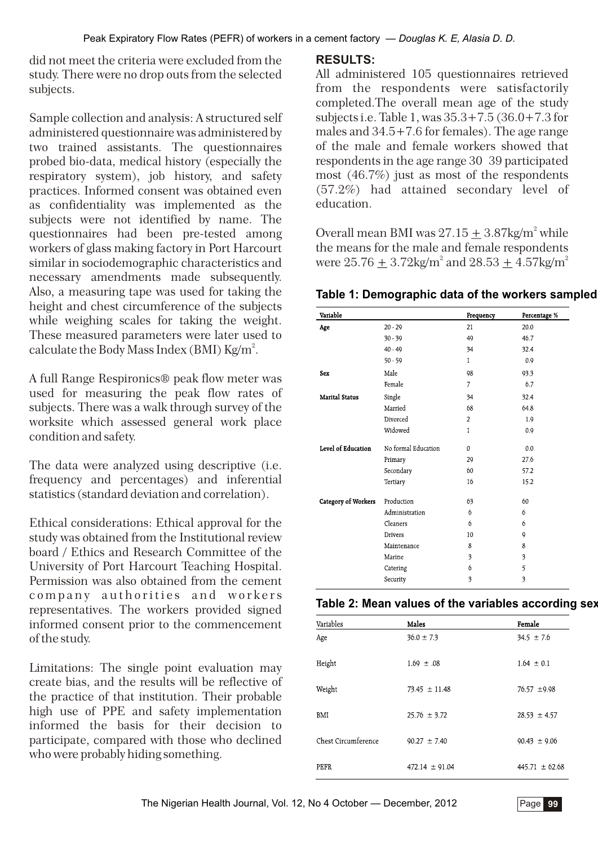did not meet the criteria were excluded from the study. There were no drop outs from the selected subjects.

Sample collection and analysis: A structured self administered questionnaire was administered by two trained assistants. The questionnaires probed bio-data, medical history (especially the respiratory system), job history, and safety practices. Informed consent was obtained even as confidentiality was implemented as the subjects were not identified by name. The questionnaires had been pre-tested among workers of glass making factory in Port Harcourt similar in sociodemographic characteristics and necessary amendments made subsequently. Also, a measuring tape was used for taking the height and chest circumference of the subjects while weighing scales for taking the weight. These measured parameters were later used to calculate the Body Mass Index (BMI) Kg/m<sup>2</sup>.

A full Range Respironics® peak flow meter was used for measuring the peak flow rates of subjects. There was a walk through survey of the worksite which assessed general work place condition and safety.

The data were analyzed using descriptive (i.e. frequency and percentages) and inferential statistics (standard deviation and correlation).

Ethical considerations: Ethical approval for the study was obtained from the Institutional review board / Ethics and Research Committee of the University of Port Harcourt Teaching Hospital. Permission was also obtained from the cement company authorities and workers representatives. The workers provided signed informed consent prior to the commencement of the study.

Limitations: The single point evaluation may create bias, and the results will be reflective of the practice of that institution. Their probable high use of PPE and safety implementation informed the basis for their decision to participate, compared with those who declined who were probably hiding something.

## **RESULTS:**

All administered 105 questionnaires retrieved from the respondents were satisfactorily completed.The overall mean age of the study subjects i.e. Table 1, was 35.3+7.5 (36.0+7.3 for males and 34.5+7.6 for females). The age range of the male and female workers showed that respondents in the age range 30 39 participated most (46.7%) just as most of the respondents (57.2%) had attained secondary level of education.

Overall mean BMI was  $27.15 \pm 3.87$ kg/m<sup>2</sup> while the means for the male and female respondents were  $25.76 + 3.72 \text{kg/m}^2$  and  $28.53 + 4.57 \text{kg/m}^2$ 

**Table 1: Demographic data of the workers sampled**

| Variable              |                     | Frequency      | Percentage %            |  |
|-----------------------|---------------------|----------------|-------------------------|--|
| Age                   | $20 - 29$           | 21             | 20.0                    |  |
|                       | $30 - 39$           | 49             | 46.7                    |  |
|                       | $40 - 49$           | 34             | 32.4                    |  |
|                       | $50 - 59$           | $\mathbf{1}$   | 0.9                     |  |
| Sex                   | Male                | 98             | 93.3                    |  |
|                       | Female              | 7              | 6.7                     |  |
| <b>Marital Status</b> | Single              | 34             | 32.4                    |  |
|                       | Married             | 68             | 64.8                    |  |
|                       | Divorced            | $\overline{2}$ | 1.9                     |  |
|                       | Widowed             | 1              | 0.9                     |  |
| Level of Education    | No formal Education | $\mathbf{0}$   | 0.0                     |  |
|                       | Primary             | 29             | 27.6                    |  |
|                       | Secondary           | 60             | 57.2                    |  |
|                       | Tertiary            | 16             | 15.2                    |  |
| Category of Workers   | Production          | 63             | 60                      |  |
|                       | Administration      | 6              | 6                       |  |
|                       | Cleaners            | 6              | 6                       |  |
|                       | <b>Drivers</b>      | 10             | 9                       |  |
|                       | Maintenance         | 8              | 8                       |  |
|                       | Marine              | 3              | 3                       |  |
|                       | Catering            | 6              | 5                       |  |
|                       | Security            | 3              | $\overline{\mathbf{3}}$ |  |

| Variables           | Males              | Female             |
|---------------------|--------------------|--------------------|
| Age                 | $36.0 \pm 7.3$     | $34.5 \pm 7.6$     |
| Height              | $1.69 \pm .08$     | $1.64 \pm 0.1$     |
| Weight              | $73.45 \pm 11.48$  | $76.57 \pm 9.98$   |
| BMI                 | $25.76 \pm 3.72$   | $28.53 \pm 4.57$   |
| Chest Circumference | $90.27 \pm 7.40$   | $90.43 \pm 9.06$   |
| PEFR                | $472.14 \pm 91.04$ | $445.71 \pm 62.68$ |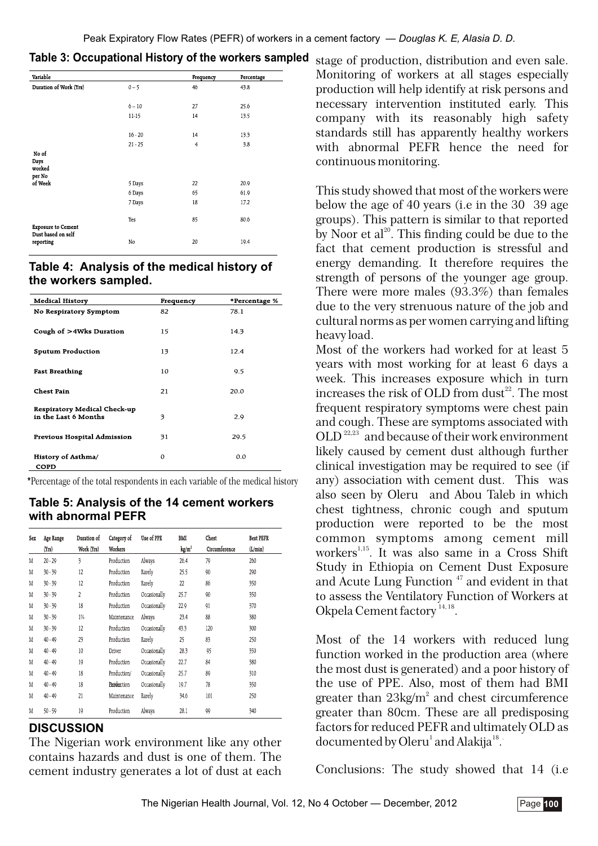| Variable                          |           | Frequency      | Percentage |
|-----------------------------------|-----------|----------------|------------|
| Duration of Work (Yrs)            | $0 - 5$   | 46             | 43.8       |
|                                   |           |                |            |
|                                   | $6 - 10$  | 27             | 25.6       |
|                                   | $11-15$   | 14             | 13.5       |
|                                   | $16 - 20$ | 14             | 13.3       |
|                                   | $21 - 25$ | $\overline{4}$ | 3.8        |
| No of<br>Days<br>worked<br>per No |           |                |            |
| of Week                           | 5 Days    | 22             | 20.9       |
|                                   | 6 Days    | 65             | 61.9       |
|                                   | 7 Days    | 18             | 17.2       |
| <b>Exposure to Cement</b>         | Yes       | 85             | 80.6       |
| Dust based on self<br>reporting   | No        | 20             | 19.4       |

| Table 3: Occupational History of the workers sampled |  |
|------------------------------------------------------|--|

#### **Table 4: Analysis of the medical history of the workers sampled.**

| <b>Medical History</b>                               | Frequency | *Percentage % |
|------------------------------------------------------|-----------|---------------|
| No Respiratory Symptom                               | 82        | 78.1          |
| Cough of >4Wks Duration                              | 15        | 14.3          |
| <b>Sputum Production</b>                             | 13        | 12.4          |
| <b>Fast Breathing</b>                                | 10        | 9.5           |
| <b>Chest Pain</b>                                    | 21        | 20.0          |
| Respiratory Medical Check-up<br>in the Last 6 Months | 3         | 2.9           |
| Previous Hospital Admission                          | 31        | 29.5          |
| History of Asthma/<br>COPD                           | $\Omega$  | 0.0           |

**\***Percentage of the total respondents in each variable of the medical history

#### **Table 5: Analysis of the 14 cement workers with abnormal PEFR**

| Sex | Age Range | Duration of               | Category of        | Use of PPE   | BMI             | Chest         | <b>Best PEFR</b> |
|-----|-----------|---------------------------|--------------------|--------------|-----------------|---------------|------------------|
|     | (Yrs)     | Work (Yrs)                | Workers            |              | $\text{kg/m}^2$ | Circumference | (L/min)          |
| M   | $20 - 29$ | $\overline{\mathfrak{z}}$ | Production         | Always       | 26.4            | 79            | 260              |
| M   | $30 - 39$ | 12                        | Production         | Rarely       | 25.5            | 90            | 290              |
| M   | $30 - 39$ | 12                        | Production         | Rarely       | 22              | 86            | 350              |
| M   | $30 - 39$ | $\overline{c}$            | Production         | Occasionally | 25.7            | 90            | 350              |
| M   | $30 - 39$ | 18                        | Production         | Occasionally | 22.9            | 91            | 370              |
| M   | $30 - 39$ | $1\frac{3}{4}$            | Maintenance        | Always       | 23.4            | 88            | 380              |
| M   | $30 - 39$ | 12                        | Production         | Occasionally | 43.3            | 120           | 300              |
| M   | $40 - 49$ | 23                        | Production         | Rarely       | 25              | 83            | 250              |
| M   | $40 - 49$ | 10                        | Driver             | Occasionally | 28.3            | 95            | 350              |
| M   | $40 - 49$ | 19                        | Production         | Occasionally | 22.7            | 84            | 380              |
| M   | $40 - 49$ | 18                        | Production/        | Occasionally | 25.7            | 89            | 310              |
| M   | $40 - 49$ | 18                        | <b>Phoderction</b> | Occasionally | 19.7            | 78            | 350              |
| M   | $40 - 49$ | 21                        | Maintenance        | Rarely       | 34.6            | 101           | 250              |
| M   | $50 - 59$ | 19                        | Production         | Always       | 28.1            | 99            | 340              |

## **DISCUSSION**

The Nigerian work environment like any other contains hazards and dust is one of them. The cement industry generates a lot of dust at each stage of production, distribution and even sale. Monitoring of workers at all stages especially production will help identify at risk persons and necessary intervention instituted early. This company with its reasonably high safety standards still has apparently healthy workers with abnormal PEFR hence the need for continuous monitoring.

This study showed that most of the workers were below the age of 40 years (i.e in the 30 39 age groups). This pattern is similar to that reported by Noor et  $al^{20}$ . This finding could be due to the fact that cement production is stressful and energy demanding. It therefore requires the strength of persons of the younger age group. There were more males (93.3%) than females due to the very strenuous nature of the job and cultural norms as per women carrying and lifting heavy load.

Most of the workers had worked for at least 5 years with most working for at least 6 days a week. This increases exposure which in turn increases the risk of OLD from dust<sup>22</sup>. The most frequent respiratory symptoms were chest pain and cough. These are symptoms associated with  $OLD<sup>22,23</sup>$  and because of their work environment likely caused by cement dust although further clinical investigation may be required to see (if any) association with cement dust. This was also seen by Oleru and Abou Taleb in which chest tightness, chronic cough and sputum production were reported to be the most common symptoms among cement mill workers<sup>1,15</sup>. It was also same in a Cross Shift Study in Ethiopia on Cement Dust Exposure and Acute Lung Function  $47$  and evident in that to assess the Ventilatory Function of Workers at Okpela Cement factory<sup>14, 18</sup>.

Most of the 14 workers with reduced lung function worked in the production area (where the most dust is generated) and a poor history of the use of PPE. Also, most of them had BMI greater than  $23\text{kg/m}^2$  and chest circumference greater than 80cm. These are all predisposing factors for reduced PEFR and ultimately OLD as documented by Oleru<sup>1</sup> and Alakija<sup>18</sup>.

Conclusions: The study showed that 14 (i.e